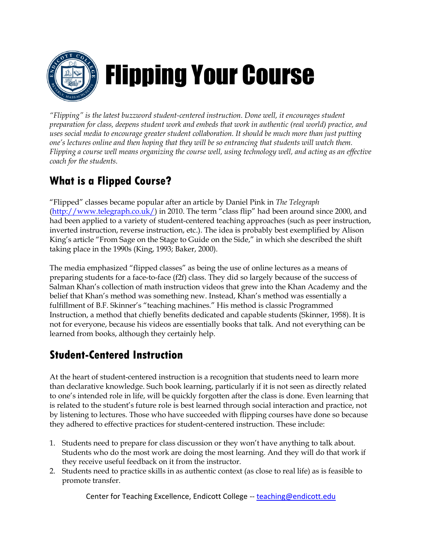

*"Flipping" is the latest buzzword student-centered instruction. Done well, it encourages student preparation for class, deepens student work and embeds that work in authentic (real world) practice, and uses social media to encourage greater student collaboration. It should be much more than just putting one's lectures online and then hoping that they will be so entrancing that students will watch them. Flipping a course well means organizing the course well, using technology well, and acting as an effective coach for the students.* 

# **What is a Flipped Course?**

"Flipped" classes became popular after an article by Daniel Pink in *The Telegraph*  [\(http://www.telegraph.co.uk/\)](http://www.telegraph.co.uk/) in 2010. The term "class flip" had been around since 2000, and had been applied to a variety of student-centered teaching approaches (such as peer instruction, inverted instruction, reverse instruction, etc.). The idea is probably best exemplified by Alison King's article "From Sage on the Stage to Guide on the Side," in which she described the shift taking place in the 1990s (King, 1993; Baker, 2000).

The media emphasized "flipped classes" as being the use of online lectures as a means of preparing students for a face-to-face (f2f) class. They did so largely because of the success of Salman Khan's collection of math instruction videos that grew into the Khan Academy and the belief that Khan's method was something new. Instead, Khan's method was essentially a fulfillment of B.F. Skinner's "teaching machines." His method is classic Programmed Instruction, a method that chiefly benefits dedicated and capable students (Skinner, 1958). It is not for everyone, because his videos are essentially books that talk. And not everything can be learned from books, although they certainly help.

# **Student-Centered Instruction**

At the heart of student-centered instruction is a recognition that students need to learn more than declarative knowledge. Such book learning, particularly if it is not seen as directly related to one's intended role in life, will be quickly forgotten after the class is done. Even learning that is related to the student's future role is best learned through social interaction and practice, not by listening to lectures. Those who have succeeded with flipping courses have done so because they adhered to effective practices for student-centered instruction. These include:

- 1. Students need to prepare for class discussion or they won't have anything to talk about. Students who do the most work are doing the most learning. And they will do that work if they receive useful feedback on it from the instructor.
- 2. Students need to practice skills in as authentic context (as close to real life) as is feasible to promote transfer.

Center for Teaching Excellence, Endicott College -- teaching@endicott.edu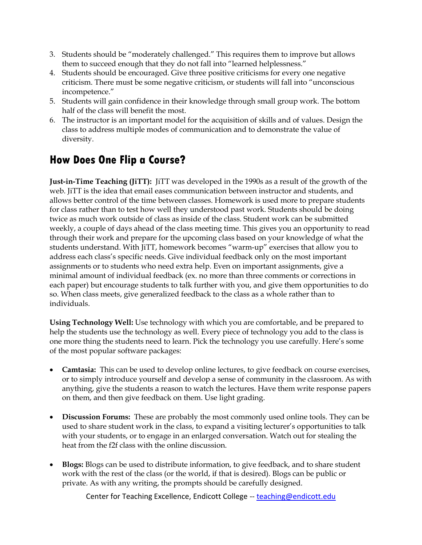- 3. Students should be "moderately challenged." This requires them to improve but allows them to succeed enough that they do not fall into "learned helplessness."
- 4. Students should be encouraged. Give three positive criticisms for every one negative criticism. There must be some negative criticism, or students will fall into "unconscious incompetence."
- 5. Students will gain confidence in their knowledge through small group work. The bottom half of the class will benefit the most.
- 6. The instructor is an important model for the acquisition of skills and of values. Design the class to address multiple modes of communication and to demonstrate the value of diversity.

# **How Does One Flip a Course?**

**Just-in-Time Teaching (JiTT):** JiTT was developed in the 1990s as a result of the growth of the web. JiTT is the idea that email eases communication between instructor and students, and allows better control of the time between classes. Homework is used more to prepare students for class rather than to test how well they understood past work. Students should be doing twice as much work outside of class as inside of the class. Student work can be submitted weekly, a couple of days ahead of the class meeting time. This gives you an opportunity to read through their work and prepare for the upcoming class based on your knowledge of what the students understand. With JiTT, homework becomes "warm-up" exercises that allow you to address each class's specific needs. Give individual feedback only on the most important assignments or to students who need extra help. Even on important assignments, give a minimal amount of individual feedback (ex. no more than three comments or corrections in each paper) but encourage students to talk further with you, and give them opportunities to do so. When class meets, give generalized feedback to the class as a whole rather than to individuals.

**Using Technology Well:** Use technology with which you are comfortable, and be prepared to help the students use the technology as well. Every piece of technology you add to the class is one more thing the students need to learn. Pick the technology you use carefully. Here's some of the most popular software packages:

- **Camtasia:** This can be used to develop online lectures, to give feedback on course exercises, or to simply introduce yourself and develop a sense of community in the classroom. As with anything, give the students a reason to watch the lectures. Have them write response papers on them, and then give feedback on them. Use light grading.
- **Discussion Forums:** These are probably the most commonly used online tools. They can be used to share student work in the class, to expand a visiting lecturer's opportunities to talk with your students, or to engage in an enlarged conversation. Watch out for stealing the heat from the f2f class with the online discussion.
- **Blogs:** Blogs can be used to distribute information, to give feedback, and to share student work with the rest of the class (or the world, if that is desired). Blogs can be public or private. As with any writing, the prompts should be carefully designed.

Center for Teaching Excellence, Endicott College -- teaching@endicott.edu